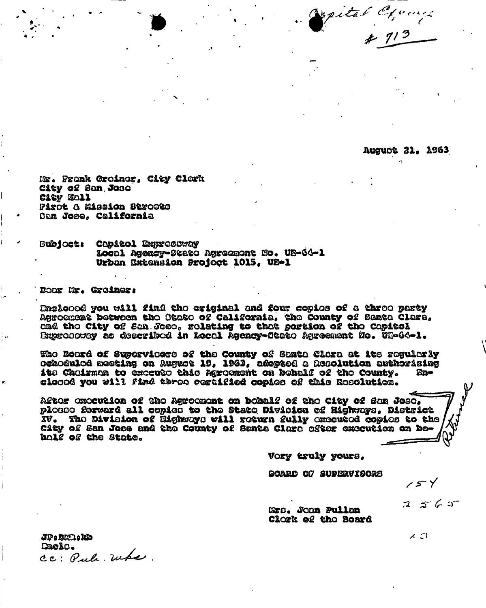pital Ciproup

**August 21, 1963** 

Mr. Frank Groiner, City Clork City of San Jose City Mall Pirot & Mission Stroots San Jose. California

Capitol Exprocuray **Bubjoct:** Local Agency-State Agreement No. UB-64-1 Urban Extension Project 1015, US-1

Door Mr. Greiner:

Engloood you will find the original and four copies of a three party Agroement between the Otese of California, the County of Santa Clara, ame the City of Sam Jose, relating to that portion of the Capitol Bxprosstoy as described in Local Agency-State Agreement No. 08-64-1.

The Board of Supervicers of the County of Santa Clara at its regularly ochodulod meeting on August 19, 1963, adopted a Resolution authorising its Chairman to exceuto this Agroement on behalf of the County. Enclosed you will find three cortified copies of this Resolution.

After execution of the Agreement on bohalf of the City of San Jose, plonno forward all copies to the State Division of Highways, District XV. The Division of Highways will return fully enteuted copies to the City of San Jose and the County of Santa Clara after execution on Dehole of the State.

Vory truly yours.

BOARD OF SUPERVISORS

 $154$ 

 $2565$ 

Mrs. Joan Pullan Clork of the Board

JP: DKR: KD Dacio. cc: Pule. Whe. ィコ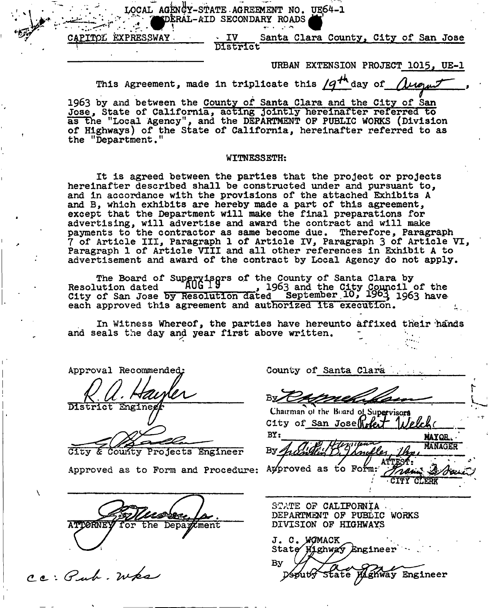**LOCAL AGENCY-STATE.AGREEMENT NO. UE64-1 '^pkRAL-AID SECONDARY ROADS Q** 

**CAEITPli EXPRESSWAY' > IV Santa Clara County, City of San Jose > District** 

URBAN EXTENSION PROJECT 1015, UE-1

This Agreement, made in triplicate this  $\mathcal{A}^{H}$  day of  $\Lambda$ 

**1963 by and between the County of Santa Clara and the City of San Jose, State of California, acting jointly hereinafter referred to**  as the "Local Agency", and the DEPARTMENT OF PUBLIC WORKS (Division **a of Highways) of the State of California, hereinafter referred to as the "Department,"** 

### **WITNESSETH:**

**It is agreed between the parties that the project or projects hereinafter described shall be constructed under and pursuant to, and in accordance with the provisions of the attached Exhibits A and B, which exhibits are hereby made a part of this agreement, except that the Department will make the final preparations for advertising, will advertise and award the contract and will make payments to the contractor as same become due. Therefore, Paragraph 7 of Article III, Paragraph 1 of Article IV, Paragraph 3 of Article VI, Paragraph 1 of Article VIII and all other references in Exhibit A to advertisement and award of the contract by Local Agency do not apply.** 

The Board of Superyisors of the County of Santa Clara by Resolution dated **AUU IV** 1963 and the City Council of the **City of San Jose by Resolution dated September .10, 1904 1963 have each approved this agreement and authorized its execution.** 

**In Witness Whereof, the parties have hereunto affixed their hands**  and seals the day and year first above written.

Approval Recommended:

District Enginee

**City & Courfty Projects Engineer By** 

Approved as to Form and Procedure: Ay proved as to Form:

Mussee Ja. **ATTORNEY** 

ce: Pub. Wks

County of Santa Clara

**<sup>B</sup> 7 -**

**t-1 L** 

Chairman of the Board of Supervisors Tilelche

City of San Jose Welet **MAYOR.**<br>MANAGER ATTEST: Train 2/00 **CITY CLERK** 

**STATE 0? CALIFORNIA DEPARTMENT OF PUBLIC WORKS DIVISION OF HIGHWAYS** 

J. C. WOMACK State Wighway Engineer Bу State Maghway Engineer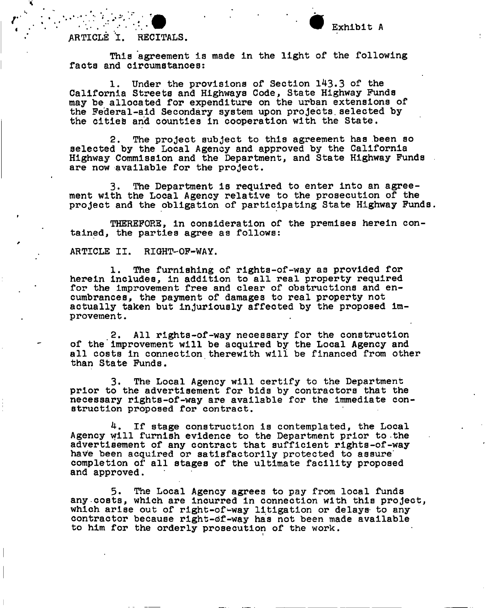# **ARTICLE I. RECITALS.**

This agreement is made in the light of the following **facta and circumstances:** 

**1. Under the provisions of Section 143.3 of the California Streets and Highways Code, State Highway Funds may be allocated for expenditure on the urban extensions of the Federal-aid Secondary system upon projects.selected by the cities arid counties in cooperation with the State,** 

**2. The project subject to this agreement has been so selected by the Local Agency and approved by the California Highway Commission and the Department, and State Highway Funds are now available for the project.** 

**3. The Department is required to enter into an agreement with the Local Agency relative to the prosecution of the project and the obligation of participating State Highway Funds.** 

**THEREFORE, in consideration of the premises herein contained, the parties agree as follows:** 

**ARTICLE II. RIGHT-OF-WAY.** 

**1. The furnishing of rights-of-way as provided for herein includes, in addition to all real property required**  for the improvement free and clear of obstructions and en**cumbrances, the payment of damages to real property not actually taken but injuriously affected by the proposed improvement.** 

**2. All rights-of-way necessary for the construction of the improvement will be acquired by the Local Agency and all costs in connection therewith will be financed from other than State Funds.** 

**3. The Local Agency will certify to the Department prior to the advertisement for bids by contractors that the necessary rights-of-way are available for the immediate construction proposed for contract.** 

**4. If stage construction is contemplated, the Local Agency will furnish evidence to the Department prior to the advertisement of any contract that sufficient rights-of-way have been acquired or satisfactorily protected to assure' completion of all stages of the ultimate facility proposed and approved.** 

**5. The Local Agency agrees to pay from local funds any.costs, which are incurred in connection with this project, which arise out of right-of-way litigation or delays- to any contractor because right-df-way has not been made available to him for the orderly prosecution of the work.**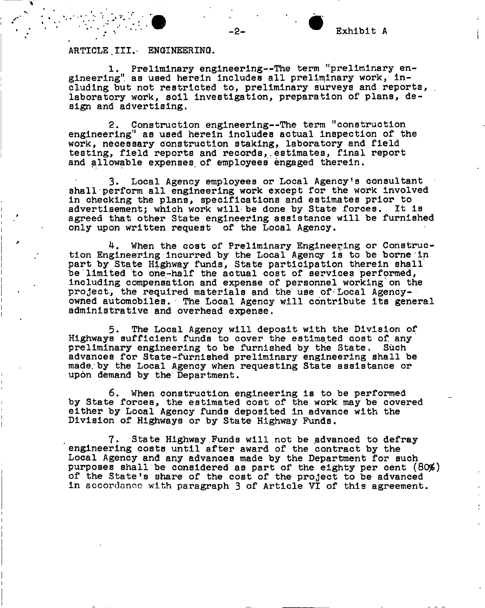### ARTICLE III. ENGINEERING.

**I i** 

**i** 

**1. Preliminary engineering—The term "preliminary engineering" as used herein includes all preliminary work, including but not restricted to, preliminary surveys and reports, . laboratory work, soil investigation, preparation of plans, design and advertising.** 

**2. Construction engineering—The term "construction engineering" as used herein includes actual inspection of the work, necessary construction staking, laboratory and field testing, field reports and records,.estimates, final report and allowable expenses, of employees engaged therein.** 

**3. Local Agency employees or Local Agency's consultant shall perform all engineering work except for the work involved in checking the plans, specifications and estimates prior to advertisementj which work will-be done by State forces. It is agreed that other State engineering assistance will be furnished only upon written request of the Local Agency.** 

**4. When the cost of Preliminary Engineering or Construction Engineering incurred by the Local Agency is to be borne in part by State Highway funds, State participation therein shall**  be limited to one-half the actual cost of services performed, **including compensation and expense of personnel working'on the project, the required materials and the use of'Local Agencyowned automobiles. The Local Agency will contribute its general administrative and overhead expense.** 

**5. The Local Agency will deposit with the Division of Highways sufficient funds to cover the estimated cost of. any preliminary engineering to be furnished by the State. Such advances for State-furnished preliminary engineering shall be made;by the Local Agency when requesting State assistance or upon demand by the Department,** 

**6. When construction engineering is to be performed by State forces, the estimated cost of the work may be covered either by Local Agency funds deposited in advance with the Division of Highways or by State Highway Funds.** 

**7. State Highway Funds will not be .advanced to defray engineering costs until after award of the contract by the Local Agency and any advances made by the Department for such**  purposes shall be considered as part of the eighty per cent (80%) **of the State's share of the cost of the project to be advanced in** accordance **with paragraph 3 of Article VI of this agreement.** 

Exhibit A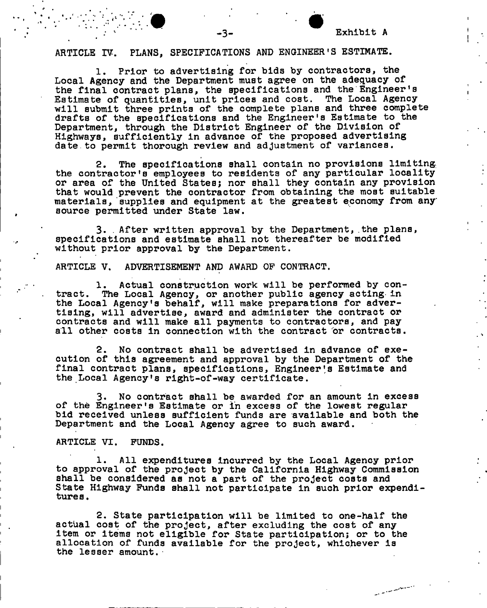en alle proposant

# **ARTICLE IV. PLANS, SPECIFICATIONS AND ENGINEER'S ESTIMATE.**

**1. Prior to advertising for bids by contractors, the Local Agency and the Department must agree on the adequacy of the final contract plans, the specifications and the Engineer's Estimate of quantities, unit prices and cost. The Local Agency will submit three prints of the complete plans and three complete drafts of the specifications and the Engineer's Estimate to the Department, through the District Engineer of the Division of Highways, sufficiently in advance of the proposed advertising date.to permit thorough review and adjustment of variances.** 

**2. The specifications shall contain no provisions limiting, the contractor's employees to residents of any particular locality or area of the United States; nor shall they contain any provision that would prevent the contractor from obtaining the most suitable materials, supplies and equipment at the greatest economy from any source permitted under State law.** 

**3. . After written approval by the Department, the plans, specifications and estimate shall not thereafter be modified without prior approval by the Department.** 

**ARTICLE V. ADVERTISEMENT AND AWARD OF CONTRACT.** 

**1. Actual construction work will be performed by contract. The Local Agency, or another public agency acting in the Local Agency's behalf, will make preparations for advertising, will advertise, award and administer the contract or contracts and will make all payments to contractors, and pay**  all other costs in connection with the contract or contracts.

**2. No contract shall be advertised in advance of execution of this agreement and approval by the Department of the**  final contract plans, specifications, Engineer's Estimate and **the Local Agency's right-of-way certificate.** 

**3. No contract shall be awarded for an amount in excess of the Engineer's Estimate or in excess of the lowest regular bid received unless sufficient funds are available and both the Department and the Local Agency agree to such award.** 

#### **ARTICLE VI. FUNDS.**

**1. All expenditures incurred by the Local Agency prior to approval of the project by the California Highway Commission shall be considered as not a part of the project costs and State Highway Funds shall not participate in such prior expenditures .** 

**2. State participation will be limited to one-half the actual cost of the project, after excluding the cost of any item or items not eligible for State participation; or to the allocation of funds available for the project, whichever is the lesser amount.•**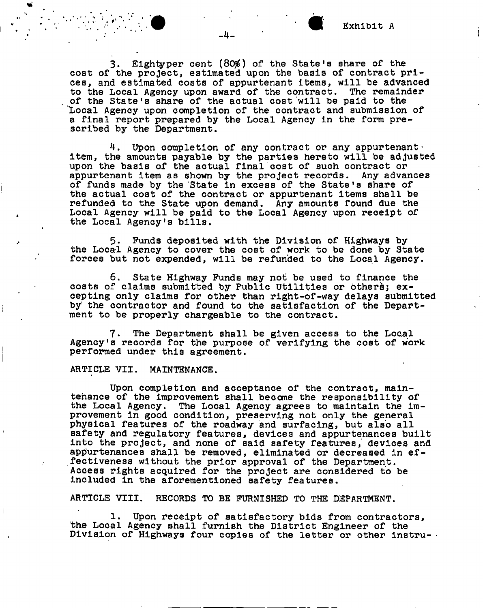**3. Eightyper cent (80\$) of the State!s share of the cost of the project, estimated upon the basis of contract prices, and estimated costs of appurtenant items, will be advanced to the Local Agency upon award of the contract. The remainder of the State<sup>f</sup>s share of the actual cost will be paid to the "Local Agency upon completion of the contract and submission of a final report prepared by the Local Agency in the form prescribed by the Department.** 

**4. Upon completion of any contract or any appurtenantitem, the amounts payable by the parties hereto will be adjusted upon the basis of the actual final cost of such contract or appurtenant item as shown by the project records. Any advances of funds made by the State in excess of the State's share of the actual cost of the contract or appurtenant items shall be refunded to the State upon demand. Any amounts found due the Local Agency will be paid to the Local Agency upon receipt of the Local Agency's bills.** 

**5. Funds deposited with the Division of Highways by the Local Agency to cover the cost of work to be done by State forces but not expended, will be refunded to the Local Agency.** 

**6. State Highway Funds may not be used to finance the**  costs of claims submitted by Public Utilities or others; ex**cepting only claims for other than right-of-way delays submitted by the contractor and found to the satisfaction of the Department to be properly chargeable to the contract.** 

**7. The Department shall be given access to the Local Agency!s records for the purpose of verifying the cost of work performed under this agreement.** 

**ARTICLE VII. MAINTENANCE.** 

**Upon completion and acceptance of the contract, maintenance of the improvement shall become the responsibility of the Local Agency. The Local Agency agrees to maintain the improvement in good condition, preserving not only the general**  physical features of the roadway and surfacing, but also all **safety and regulatory features, devices and appurtenances built into the project, and none of said safety features, devices and appurtenances shall be removed, eliminated or decreased in effectiveness without the prior approval of the Department. Access rights acquired for the project are considered to be included in the aforementioned safety features.** 

**ARTICLE VIII. RECORDS TO BE FURNISHED TO THE DEPARTMENT.** 

**1. Upon receipt of satisfactory bids from contractors, the Local Agency shall furnish the District Engineer of the Division of Highways four copies of the letter or other instru-**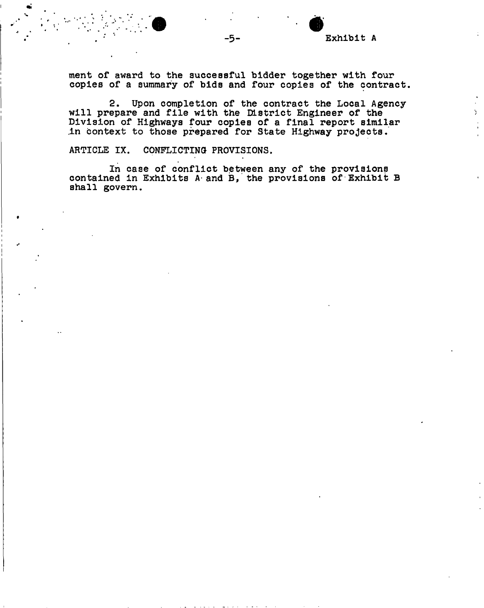**ment of award to the successful bidder together with four copies of a summary of bids and four copies of the contract.** 

**2. Upon completion of the contract the Local Agencywill prepare and file with the District Engineer of the Division of Highways four copies of a final report similar .in context to those prepared for State Highway projects,** 

**ARTICLE IX. CONFLICTING PROVISIONS.** 

**In case of conflict between any of the provisions**  contained in Exhibits A and B, the provisions of Exhibit B **shall govern.**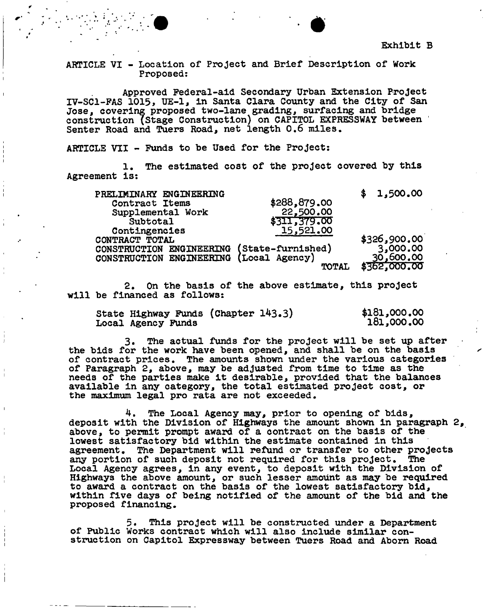**ARTICLE VI - Location of Project and Brief Description of Work Proposed:** 

**Approved Federal-aid Secondary Urban Extension Project XV-SCI-PAS 1015, UE-1, in Santa Clara County and the City of San Jose, covering proposed two-lane grading, surfacing and bridge construction (Stage Construction) on CAPITOL EXPRESSWAY between ' Senter Road and Tuers Road, net length 0.6 miles.** 

**ARTICLE VTI - Funds to be Used for the Project:** 

**1. The estimated cost of the project covered by this Agreement is:** 

| PRELIMINARY ENGINEERING  |                   | 1,500.00     |
|--------------------------|-------------------|--------------|
| Contract Items           | \$288,879.00      |              |
| Supplemental Work        | 22,500.00         |              |
| Subtotal                 | \$311,379.00      |              |
| Contingencies            | 15,521.00         |              |
| CONTRACT TOTAL           |                   | \$326,900.00 |
| CONSTRUCTION ENGINEERING | (State-furnished) | 3,000.00     |
| CONSTRUCTION ENGINEERING | (Local Agency)    | 30,600,00    |
|                          | TOTAL             | \$362,000.00 |
|                          |                   |              |

**2. On the basis of the above estimate, this project will be financed as follows:** 

|                    | State Highway Funds (Chapter 143.3) | \$181,000.00 |
|--------------------|-------------------------------------|--------------|
| Local Agency Funds |                                     | 181,000.00   |

**3. The actual funds for the project will be set up after the bids for the work have been opened, and shall be on the basis of contract prices. The amounts shown under the various categories of Paragraph 2, above, may be adjusted from time to time as the needs of the parties make it desirable, provided that the balances available in any category, the total estimated project cost, or the maximum legal pro rata are not exceeded.** 

**4. The Local Agency may, prior to opening of bids, deposit with the Division of Highways the amount shown in paragraph 2 above, to permit prompt award of a contract on the basis of the lowest satisfactory bid within the estimate contained in this agreement. The Department will refund or transfer to other projects any portion of such deposit not required for this project. The Local Agency agrees, in any event, to deposit with the Division of Highways the above amount, or such lesser amount as may be required to award a contract on the basis of the lowest satisfactory bid, within five days of being notified of the amount of the bid and the proposed financing.** 

**5. This project will be constructed under a Department of Public Works contract which will also include similar construction on Capitol Expressway between Tuers Road and Abom Road**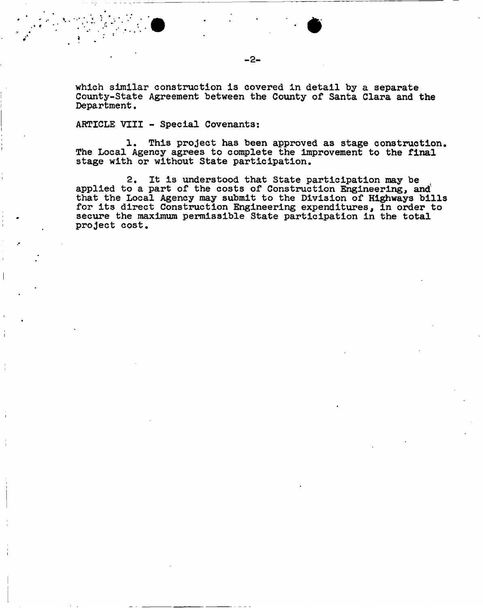**which similar construction is covered in detail by a separate County-State Agreement between the County of Santa Clara and the Department.** 

**-2-**

### **ARTICLE VIII - Special Covenants:**

**5 ^ •** 

**1. This project has been approved as stage construction. The Local Agency agrees to complete the improvement to the final stage with or without State participation.** 

**2. It is understood that State participation may be applied to a part of the costs of Construction Engineering, and that the Local Agency may submit to the Division of Highways bills for its direct Construction Engineering expenditures, in order to secure the maximum permissible State participation in the total project cost.**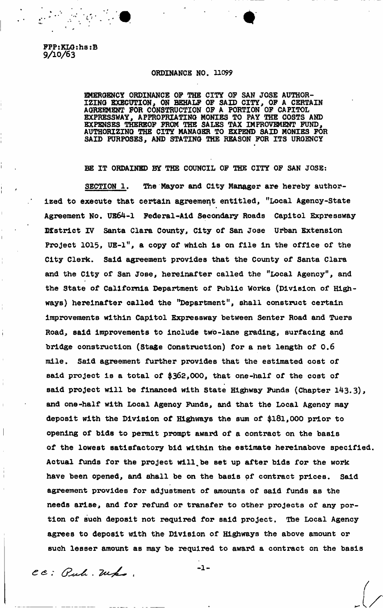**FPP:KLG:hs:B 9/10/63** 

## **ORDINANCE NO. 11099**

**EMERGENCY ORDINANCE OF THE CITY OF SAN JOSE AUTHOR-**IZING EXECUTION, ON BEHALF OF SAID CITY, OF A CERTAIN **AGREEMENT FOR CONSTRUCTION OF A PORTION OF CAPITOL EXPRESSWAY, APPROPRIATING MONIES TO PAY THE COSTS AND EXPENSES THEREOF FROM THE SALES TAX IMPROVEMENT FUND, AUTHORIZING THE CITY MANAGER TO EXPEND SAID MONIES FOR SAID PURPOSES, AND STATING THE REASON FOR ITS URGENCY** 

**HE IT ORDAINED BY THE COUNCIL OF THE CITY OF SAN JOSE:** 

**SECTION 1.** *The* **Mayor and City Manager are hereby authorized to execute that certain agreement entitled, "Local Agency-State Agreement No, US64-1 Federal-Aid Secondary Roads Capitol Expressway District IV Santa Clara County, City of San Jose Urban Extension Project 1015, UE-1", a copy of which Is on file in the office of the City Clerk. Said agreement provides that the County of Santa Clara and the City of San Jose, hereinafter called the "Local Agency", and the State of California Department of Public Works (Division of Highways) hereinafter called the "Department", shall construct certain Improvements within Capitol Expressway between Senter Road and Tuers Road, said Improvements to include two-lane grading, surfacing and bridge construction (Stage Construction) for a net length of 0.6 mile. Said agreement further provides that the estimated cost of said project is a total of \$362,000, that one-half of the cost of said project will be financed with State Highway Funds (Chapter 143.3), and one-half with Local Agency Funds, and that the Local Agency may deposit with the Division of Highways the sum of \$181,000 prior to opening of bids to permit prompt award of a contract on the basis of the lowest satisfactory bid within the estimate hereinabove specified. Actual funds for the project will%be set up after bids for the work have been opened, and shall be on the basis of contract prices. Said agreement provides for adjustment of amounts of said funds as the needs arise, and for refund or transfer to other projects of any portion of such deposit not required for said project. The Local Agency agrees to deposit with the Division of Highways the above amount or such lesser amount as may be required to award a contract on the basis** 

 $-1-$ 

CC: Puli. Who.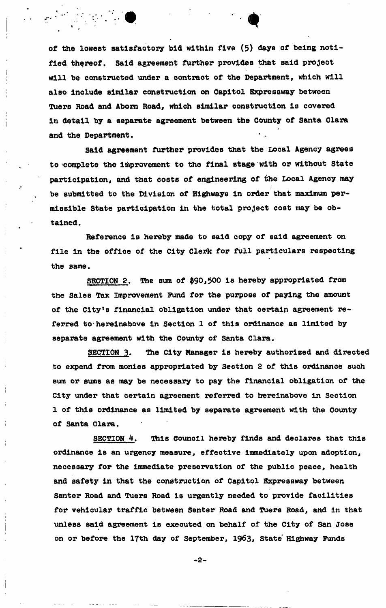**of the lowest satisfactory bid within five (5) days of being notified thereof. Said agreement further provides that said project will be constructed under a contract of the Department, which will also Include similar construction on Capitol Expressway between Tuers Road and Aborn Road, which similar construction Is covered In detail by a separate agreement between the County of Santa Clara and the Department.** 

**Said agreement further provides that the Local Agency agrees to complete the improvement to the final stage with or without State participation, and that costs of engineering of the Local Agency may be submitted to the Division of Highways in order that maximum permissible State participation in the total project cost may be obtained.** 

**Reference is hereby made to said copy of said agreement on file in the office of the City Clerk for full particulars respecting the same.** 

**SECTION 2. The sum of \$90,500 is hereby appropriated from the Sales Tax Improvement Fund for the purpose of paying the amount of the City's financial obligation under that certain agreement referred to hereinabove in Section 1 of this ordinance as limited by separate agreement with the County of Santa Clara.** 

**SECTION 3. The City Manager is hereby authorized and directed to expend from monies appropriated by Section 2 of this ordinance such sum or sums as may be necessary to pay the financial obligation of the City under that certain agreement referred to hereinabove in Section 1 of this ordinance as limited by separate agreement with the County of Santa Clara.** 

**SECTION 4. This Council hereby finds and declares that this ordinance la an urgency measure, effective immediately upon adoption, necessary for the immediate preservation of the public peace, health and safety In that the construction of Capitol Expressway between Senter Road and Tuers Road is urgently needed to provide facilities for vehicular traffic between Senter Road and Tuers Road, and in that unless said agreement is executed on behalf of the City of San Jose on or before the 17th day of September, 1963, State Highway Funds** 

**-2-**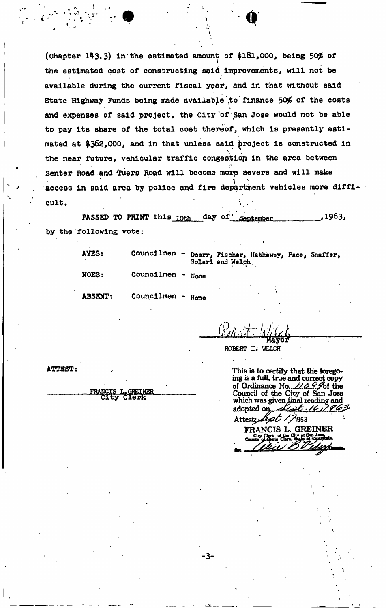(Chapter 143.3) in the estimated amount of \$181,000, being 50% of **the estimated cost of constructing said Improvements, will not be** » **available during the current fiscal year, and in that without said**  State Highway Funds being made available to finance 50% of the costs **and expenses of said project, the City-of'San Jose would not be able to pay its share of the total cost thereof, which is presently estimated at \$362,000, and' In that unless said project Is constructed in**  the near future, vehicular traffic congestion in the area between **r« Senter Road and Tuers Road will become morp severe and will make**   $\mathbf{r} = \mathbf{r} \cdot \mathbf{r}$   $\mathbf{r} = \mathbf{r} \cdot \mathbf{r}$ **access in Bald area by police and fire department vehicles more dlffl cult,**  $\qquad \qquad \qquad$   $\qquad \qquad$   $\qquad \qquad$   $\qquad \qquad$   $\qquad \qquad$   $\qquad \qquad$   $\qquad \qquad$   $\qquad \qquad$   $\qquad \qquad$   $\qquad \qquad$   $\qquad \qquad$   $\qquad \qquad$   $\qquad \qquad$   $\qquad \qquad$   $\qquad$   $\qquad$   $\qquad$   $\qquad$   $\qquad$   $\qquad$   $\qquad$   $\qquad$   $\qquad$   $\qquad$   $\qquad$   $\qquad$   $\qquad$   $\qquad$ 

**PASSED TO PRINT this loth day of September** 1963, **by the following vote:** 

| AYES:          | <b>Councilmen</b> |      | Doerr, Fischer, Hathaway, Pace, Shaffer,<br>Solari and Welch. |  |
|----------------|-------------------|------|---------------------------------------------------------------|--|
| <b>NOES:</b>   | Councilmen -      | None |                                                               |  |
| <b>ABSENT:</b> | Councilmen - None |      |                                                               |  |

-3-

 $\int f(x) dx$  is a realized *r*  $\int f(x) dx$ **Mayor** 

ROBERT I. WELCH

**ATTEST:** 

**L. GREINER**<br>Clerk

**This is to certify that fhe foregoing is a full, true and correct copy**  of Ordinance No... 110 9.5of the **Council of the City of San Jose which was given final reading and adopted**  Attest: *Lept 17*963

**FRANCIS L. GREINER**